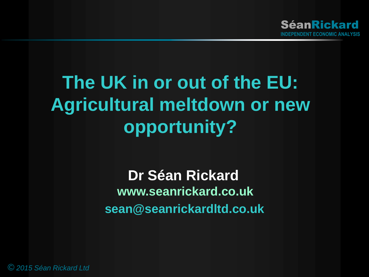

# **The UK in or out of the EU: Agricultural meltdown or new opportunity?**

**Dr Séan Rickard www.seanrickard.co.uk sean@seanrickardltd.co.uk**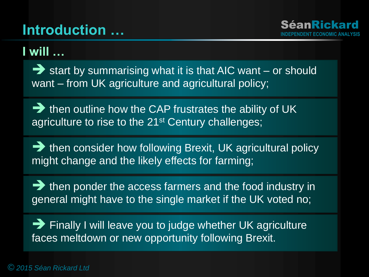#### **I will …**

Start by summarising what it is that AIC want – or should want – from UK agriculture and agricultural policy;

 $\rightarrow$  then outline how the CAP frustrates the ability of UK agriculture to rise to the 21<sup>st</sup> Century challenges;

then consider how following Brexit, UK agricultural policy might change and the likely effects for farming;

 $\rightarrow$  then ponder the access farmers and the food industry in general might have to the single market if the UK voted no;

Finally I will leave you to judge whether UK agriculture faces meltdown or new opportunity following Brexit.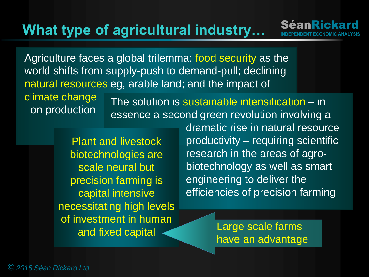# **What type of agricultural industry…** Séan Rickard

Agriculture faces a global trilemma: food security as the world shifts from supply-push to demand-pull; declining natural resources eg, arable land; and the impact of

climate change on production

The solution is sustainable intensification – in essence a second green revolution involving a

Plant and livestock biotechnologies are scale neural but precision farming is capital intensive necessitating high levels of investment in human and fixed capital **Large scale farms** 

dramatic rise in natural resource productivity – requiring scientific research in the areas of agrobiotechnology as well as smart engineering to deliver the efficiencies of precision farming

have an advantage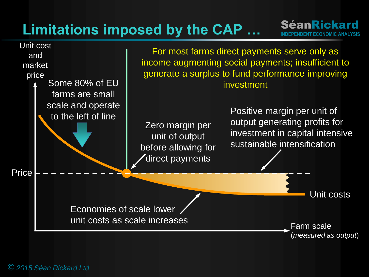# **Limitations imposed by the CAP …**



SéanRickard

**INDEPENDENT ECONOMIC ANALYSIS**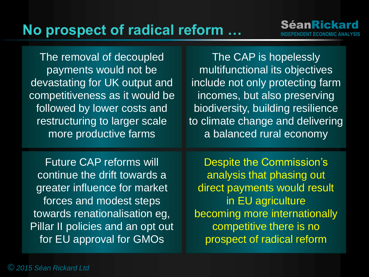# **No prospect of radical reform ... Séan Rickard**

The removal of decoupled payments would not be devastating for UK output and competitiveness as it would be followed by lower costs and restructuring to larger scale more productive farms

The CAP is hopelessly multifunctional its objectives include not only protecting farm incomes, but also preserving biodiversity, building resilience to climate change and delivering a balanced rural economy

Future CAP reforms will continue the drift towards a greater influence for market forces and modest steps towards renationalisation eg, Pillar II policies and an opt out for EU approval for GMOs

Despite the Commission's analysis that phasing out direct payments would result in EU agriculture becoming more internationally competitive there is no prospect of radical reform

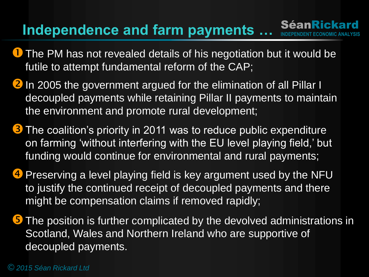# **Independence and farm payments ... SéanRickard**

- **The PM has not revealed details of his negotiation but it would be** futile to attempt fundamental reform of the CAP;
- 2 In 2005 the government argued for the elimination of all Pillar I decoupled payments while retaining Pillar II payments to maintain the environment and promote rural development;
- **3** The coalition's priority in 2011 was to reduce public expenditure on farming 'without interfering with the EU level playing field,' but funding would continue for environmental and rural payments;
- **4** Preserving a level playing field is key argument used by the NFU to justify the continued receipt of decoupled payments and there might be compensation claims if removed rapidly;
- **5** The position is further complicated by the devolved administrations in Scotland, Wales and Northern Ireland who are supportive of decoupled payments.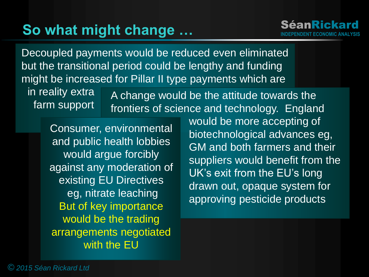# **So what might change … Independent ECONOMIC ANALYSIS**

Decoupled payments would be reduced even eliminated but the transitional period could be lengthy and funding might be increased for Pillar II type payments which are

in reality extra farm support A change would be the attitude towards the frontiers of science and technology. England

Consumer, environmental and public health lobbies would argue forcibly against any moderation of existing EU Directives eg, nitrate leaching But of key importance would be the trading arrangements negotiated with the EU

would be more accepting of biotechnological advances eg, GM and both farmers and their suppliers would benefit from the UK's exit from the EU's long drawn out, opaque system for approving pesticide products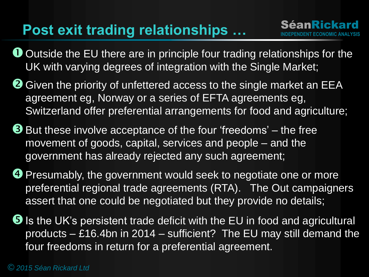# **Post exit trading relationships ...** Séan Rickard

- **O** Outside the EU there are in principle four trading relationships for the UK with varying degrees of integration with the Single Market;
- $\bullet$  Given the priority of unfettered access to the single market an EEA agreement eg, Norway or a series of EFTA agreements eg, Switzerland offer preferential arrangements for food and agriculture;
- $\bullet$  But these involve acceptance of the four 'freedoms'  $-$  the free movement of goods, capital, services and people – and the government has already rejected any such agreement;
- **P** Presumably, the government would seek to negotiate one or more preferential regional trade agreements (RTA). The Out campaigners assert that one could be negotiated but they provide no details;
- $\Theta$  is the UK's persistent trade deficit with the EU in food and agricultural products – £16.4bn in 2014 – sufficient? The EU may still demand the four freedoms in return for a preferential agreement.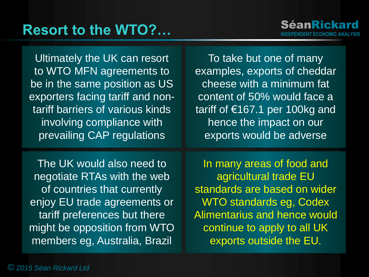# **Resort to the WTO?…** Séan Rickard

Ultimately the UK can resort to WTO MFN agreements to be in the same position as US exporters facing tariff and nontariff barriers of various kinds involving compliance with prevailing CAP regulations

To take but one of many examples, exports of cheddar cheese with a minimum fat content of 50% would face a tariff of €167.1 per 100kg and hence the impact on our exports would be adverse

The UK would also need to negotiate RTAs with the web of countries that currently enjoy EU trade agreements or tariff preferences but there might be opposition from WTO members eg, Australia, Brazil

In many areas of food and agricultural trade EU standards are based on wider WTO standards eg, Codex Alimentarius and hence would continue to apply to all UK exports outside the EU.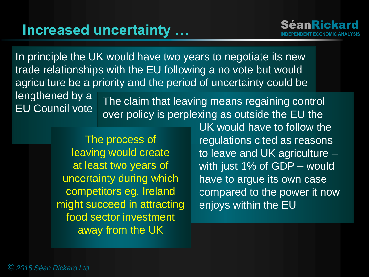# **Increased uncertainty … Séan Rickard**

In principle the UK would have two years to negotiate its new trade relationships with the EU following a no vote but would agriculture be a priority and the period of uncertainty could be

lengthened by a

Inguidited by a The claim that leaving means regaining control<br>EU Council vote expression is normalizing as outside the FU the over policy is perplexing as outside the EU the

> The process of leaving would create at least two years of uncertainty during which competitors eg, Ireland might succeed in attracting food sector investment away from the UK

UK would have to follow the regulations cited as reasons to leave and UK agriculture – with just 1% of GDP – would have to argue its own case compared to the power it now enjoys within the EU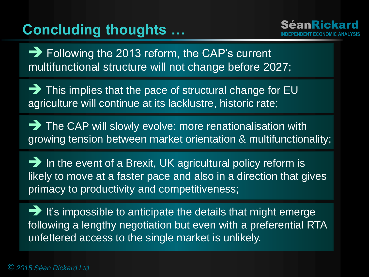#### **Concluding thoughts …**

 $\rightarrow$  Following the 2013 reform, the CAP's current multifunctional structure will not change before 2027;

 $\rightarrow$  This implies that the pace of structural change for EU agriculture will continue at its lacklustre, historic rate;

The CAP will slowly evolve: more renationalisation with growing tension between market orientation & multifunctionality;

 $\rightarrow$  In the event of a Brexit, UK agricultural policy reform is likely to move at a faster pace and also in a direction that gives primacy to productivity and competitiveness;

 $\rightarrow$  It's impossible to anticipate the details that might emerge following a lengthy negotiation but even with a preferential RTA unfettered access to the single market is unlikely.